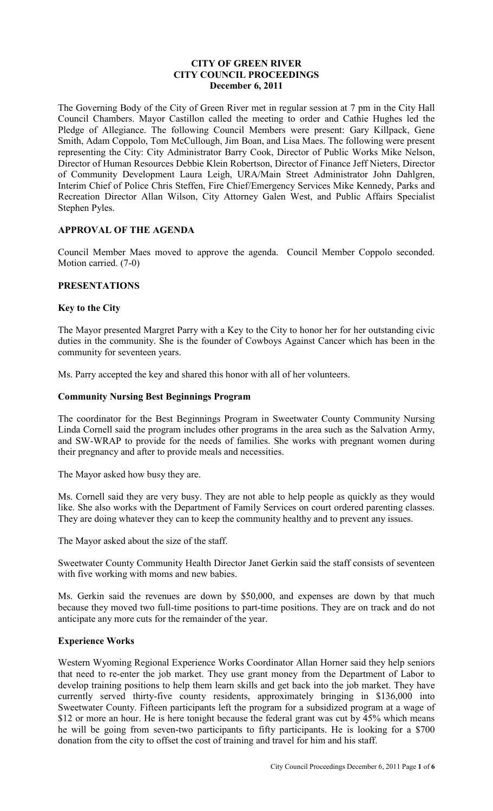### **CITY OF GREEN RIVER CITY COUNCIL PROCEEDINGS December 6, 2011**

The Governing Body of the City of Green River met in regular session at 7 pm in the City Hall Council Chambers. Mayor Castillon called the meeting to order and Cathie Hughes led the Pledge of Allegiance. The following Council Members were present: Gary Killpack, Gene Smith, Adam Coppolo, Tom McCullough, Jim Boan, and Lisa Maes. The following were present representing the City: City Administrator Barry Cook, Director of Public Works Mike Nelson, Director of Human Resources Debbie Klein Robertson, Director of Finance Jeff Nieters, Director of Community Development Laura Leigh, URA/Main Street Administrator John Dahlgren, Interim Chief of Police Chris Steffen, Fire Chief/Emergency Services Mike Kennedy, Parks and Recreation Director Allan Wilson, City Attorney Galen West, and Public Affairs Specialist Stephen Pyles.

# **APPROVAL OF THE AGENDA**

Council Member Maes moved to approve the agenda. Council Member Coppolo seconded. Motion carried. (7-0)

# **PRESENTATIONS**

### **Key to the City**

The Mayor presented Margret Parry with a Key to the City to honor her for her outstanding civic duties in the community. She is the founder of Cowboys Against Cancer which has been in the community for seventeen years.

Ms. Parry accepted the key and shared this honor with all of her volunteers.

### **Community Nursing Best Beginnings Program**

The coordinator for the Best Beginnings Program in Sweetwater County Community Nursing Linda Cornell said the program includes other programs in the area such as the Salvation Army, and SW-WRAP to provide for the needs of families. She works with pregnant women during their pregnancy and after to provide meals and necessities.

The Mayor asked how busy they are.

Ms. Cornell said they are very busy. They are not able to help people as quickly as they would like. She also works with the Department of Family Services on court ordered parenting classes. They are doing whatever they can to keep the community healthy and to prevent any issues.

The Mayor asked about the size of the staff.

Sweetwater County Community Health Director Janet Gerkin said the staff consists of seventeen with five working with moms and new babies.

Ms. Gerkin said the revenues are down by \$50,000, and expenses are down by that much because they moved two full-time positions to part-time positions. They are on track and do not anticipate any more cuts for the remainder of the year.

# **Experience Works**

Western Wyoming Regional Experience Works Coordinator Allan Horner said they help seniors that need to re-enter the job market. They use grant money from the Department of Labor to develop training positions to help them learn skills and get back into the job market. They have currently served thirty-five county residents, approximately bringing in \$136,000 into Sweetwater County. Fifteen participants left the program for a subsidized program at a wage of \$12 or more an hour. He is here tonight because the federal grant was cut by 45% which means he will be going from seven-two participants to fifty participants. He is looking for a \$700 donation from the city to offset the cost of training and travel for him and his staff.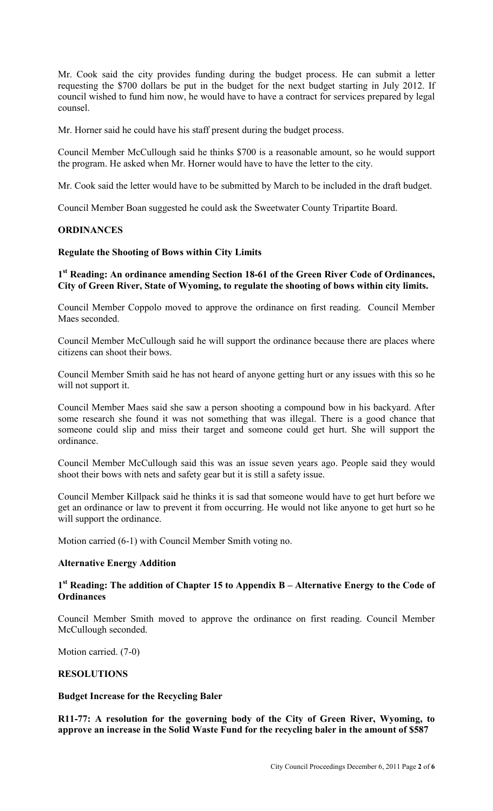Mr. Cook said the city provides funding during the budget process. He can submit a letter requesting the \$700 dollars be put in the budget for the next budget starting in July 2012. If council wished to fund him now, he would have to have a contract for services prepared by legal counsel.

Mr. Horner said he could have his staff present during the budget process.

Council Member McCullough said he thinks \$700 is a reasonable amount, so he would support the program. He asked when Mr. Horner would have to have the letter to the city.

Mr. Cook said the letter would have to be submitted by March to be included in the draft budget.

Council Member Boan suggested he could ask the Sweetwater County Tripartite Board.

#### **ORDINANCES**

#### **Regulate the Shooting of Bows within City Limits**

# **1 st Reading: An ordinance amending Section 18-61 of the Green River Code of Ordinances, City of Green River, State of Wyoming, to regulate the shooting of bows within city limits.**

Council Member Coppolo moved to approve the ordinance on first reading. Council Member Maes seconded.

Council Member McCullough said he will support the ordinance because there are places where citizens can shoot their bows.

Council Member Smith said he has not heard of anyone getting hurt or any issues with this so he will not support it.

Council Member Maes said she saw a person shooting a compound bow in his backyard. After some research she found it was not something that was illegal. There is a good chance that someone could slip and miss their target and someone could get hurt. She will support the ordinance.

Council Member McCullough said this was an issue seven years ago. People said they would shoot their bows with nets and safety gear but it is still a safety issue.

Council Member Killpack said he thinks it is sad that someone would have to get hurt before we get an ordinance or law to prevent it from occurring. He would not like anyone to get hurt so he will support the ordinance.

Motion carried (6-1) with Council Member Smith voting no.

### **Alternative Energy Addition**

# **1 st Reading: The addition of Chapter 15 to Appendix B – Alternative Energy to the Code of Ordinances**

Council Member Smith moved to approve the ordinance on first reading. Council Member McCullough seconded.

Motion carried. (7-0)

### **RESOLUTIONS**

#### **Budget Increase for the Recycling Baler**

**R11-77: A resolution for the governing body of the City of Green River, Wyoming, to approve an increase in the Solid Waste Fund for the recycling baler in the amount of \$587**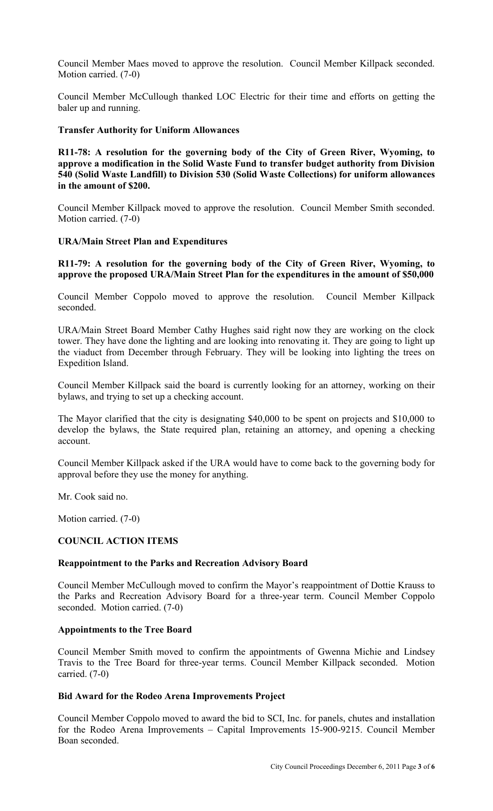Council Member Maes moved to approve the resolution. Council Member Killpack seconded. Motion carried. (7-0)

Council Member McCullough thanked LOC Electric for their time and efforts on getting the baler up and running.

#### **Transfer Authority for Uniform Allowances**

**R11-78: A resolution for the governing body of the City of Green River, Wyoming, to approve a modification in the Solid Waste Fund to transfer budget authority from Division 540 (Solid Waste Landfill) to Division 530 (Solid Waste Collections) for uniform allowances in the amount of \$200.** 

Council Member Killpack moved to approve the resolution. Council Member Smith seconded. Motion carried. (7-0)

### **URA/Main Street Plan and Expenditures**

### **R11-79: A resolution for the governing body of the City of Green River, Wyoming, to approve the proposed URA/Main Street Plan for the expenditures in the amount of \$50,000**

Council Member Coppolo moved to approve the resolution. Council Member Killpack seconded.

URA/Main Street Board Member Cathy Hughes said right now they are working on the clock tower. They have done the lighting and are looking into renovating it. They are going to light up the viaduct from December through February. They will be looking into lighting the trees on Expedition Island.

Council Member Killpack said the board is currently looking for an attorney, working on their bylaws, and trying to set up a checking account.

The Mayor clarified that the city is designating \$40,000 to be spent on projects and \$10,000 to develop the bylaws, the State required plan, retaining an attorney, and opening a checking account.

Council Member Killpack asked if the URA would have to come back to the governing body for approval before they use the money for anything.

Mr. Cook said no.

Motion carried. (7-0)

### **COUNCIL ACTION ITEMS**

### **Reappointment to the Parks and Recreation Advisory Board**

Council Member McCullough moved to confirm the Mayor's reappointment of Dottie Krauss to the Parks and Recreation Advisory Board for a three-year term. Council Member Coppolo seconded. Motion carried. (7-0)

#### **Appointments to the Tree Board**

Council Member Smith moved to confirm the appointments of Gwenna Michie and Lindsey Travis to the Tree Board for three-year terms. Council Member Killpack seconded. Motion carried. (7-0)

#### **Bid Award for the Rodeo Arena Improvements Project**

Council Member Coppolo moved to award the bid to SCI, Inc. for panels, chutes and installation for the Rodeo Arena Improvements – Capital Improvements 15-900-9215. Council Member Boan seconded.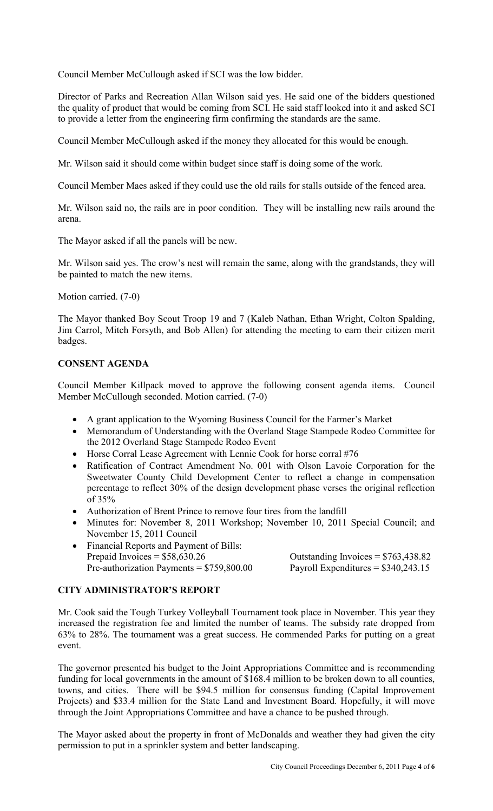Council Member McCullough asked if SCI was the low bidder.

Director of Parks and Recreation Allan Wilson said yes. He said one of the bidders questioned the quality of product that would be coming from SCI. He said staff looked into it and asked SCI to provide a letter from the engineering firm confirming the standards are the same.

Council Member McCullough asked if the money they allocated for this would be enough.

Mr. Wilson said it should come within budget since staff is doing some of the work.

Council Member Maes asked if they could use the old rails for stalls outside of the fenced area.

Mr. Wilson said no, the rails are in poor condition. They will be installing new rails around the arena.

The Mayor asked if all the panels will be new.

Mr. Wilson said yes. The crow's nest will remain the same, along with the grandstands, they will be painted to match the new items.

Motion carried. (7-0)

The Mayor thanked Boy Scout Troop 19 and 7 (Kaleb Nathan, Ethan Wright, Colton Spalding, Jim Carrol, Mitch Forsyth, and Bob Allen) for attending the meeting to earn their citizen merit badges.

# **CONSENT AGENDA**

Council Member Killpack moved to approve the following consent agenda items. Council Member McCullough seconded. Motion carried. (7-0)

- A grant application to the Wyoming Business Council for the Farmer's Market
- Memorandum of Understanding with the Overland Stage Stampede Rodeo Committee for the 2012 Overland Stage Stampede Rodeo Event
- Horse Corral Lease Agreement with Lennie Cook for horse corral #76
- Ratification of Contract Amendment No. 001 with Olson Lavoie Corporation for the Sweetwater County Child Development Center to reflect a change in compensation percentage to reflect 30% of the design development phase verses the original reflection of 35%
- Authorization of Brent Prince to remove four tires from the landfill
- Minutes for: November 8, 2011 Workshop; November 10, 2011 Special Council; and November 15, 2011 Council
- Financial Reports and Payment of Bills: Prepaid Invoices  $= $58,630.26$  Outstanding Invoices  $= $763,438.82$ Pre-authorization Payments =  $$759,800.00$  Payroll Expenditures =  $$340,243.15$

# **CITY ADMINISTRATOR'S REPORT**

Mr. Cook said the Tough Turkey Volleyball Tournament took place in November. This year they increased the registration fee and limited the number of teams. The subsidy rate dropped from 63% to 28%. The tournament was a great success. He commended Parks for putting on a great event.

The governor presented his budget to the Joint Appropriations Committee and is recommending funding for local governments in the amount of \$168.4 million to be broken down to all counties, towns, and cities. There will be \$94.5 million for consensus funding (Capital Improvement Projects) and \$33.4 million for the State Land and Investment Board. Hopefully, it will move through the Joint Appropriations Committee and have a chance to be pushed through.

The Mayor asked about the property in front of McDonalds and weather they had given the city permission to put in a sprinkler system and better landscaping.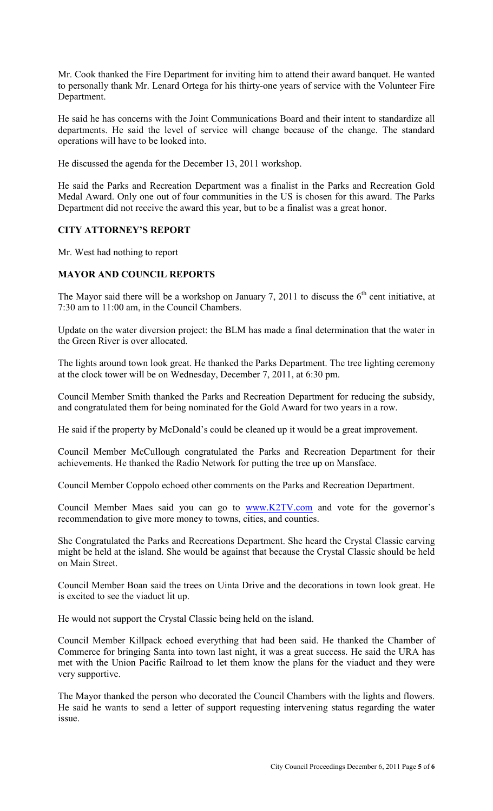Mr. Cook thanked the Fire Department for inviting him to attend their award banquet. He wanted to personally thank Mr. Lenard Ortega for his thirty-one years of service with the Volunteer Fire Department.

He said he has concerns with the Joint Communications Board and their intent to standardize all departments. He said the level of service will change because of the change. The standard operations will have to be looked into.

He discussed the agenda for the December 13, 2011 workshop.

He said the Parks and Recreation Department was a finalist in the Parks and Recreation Gold Medal Award. Only one out of four communities in the US is chosen for this award. The Parks Department did not receive the award this year, but to be a finalist was a great honor.

# **CITY ATTORNEY'S REPORT**

Mr. West had nothing to report

# **MAYOR AND COUNCIL REPORTS**

The Mayor said there will be a workshop on January 7, 2011 to discuss the  $6<sup>th</sup>$  cent initiative, at 7:30 am to 11:00 am, in the Council Chambers.

Update on the water diversion project: the BLM has made a final determination that the water in the Green River is over allocated.

The lights around town look great. He thanked the Parks Department. The tree lighting ceremony at the clock tower will be on Wednesday, December 7, 2011, at 6:30 pm.

Council Member Smith thanked the Parks and Recreation Department for reducing the subsidy, and congratulated them for being nominated for the Gold Award for two years in a row.

He said if the property by McDonald's could be cleaned up it would be a great improvement.

Council Member McCullough congratulated the Parks and Recreation Department for their achievements. He thanked the Radio Network for putting the tree up on Mansface.

Council Member Coppolo echoed other comments on the Parks and Recreation Department.

Council Member Maes said you can go to www.K2TV.com and vote for the governor's recommendation to give more money to towns, cities, and counties.

She Congratulated the Parks and Recreations Department. She heard the Crystal Classic carving might be held at the island. She would be against that because the Crystal Classic should be held on Main Street.

Council Member Boan said the trees on Uinta Drive and the decorations in town look great. He is excited to see the viaduct lit up.

He would not support the Crystal Classic being held on the island.

Council Member Killpack echoed everything that had been said. He thanked the Chamber of Commerce for bringing Santa into town last night, it was a great success. He said the URA has met with the Union Pacific Railroad to let them know the plans for the viaduct and they were very supportive.

The Mayor thanked the person who decorated the Council Chambers with the lights and flowers. He said he wants to send a letter of support requesting intervening status regarding the water issue.